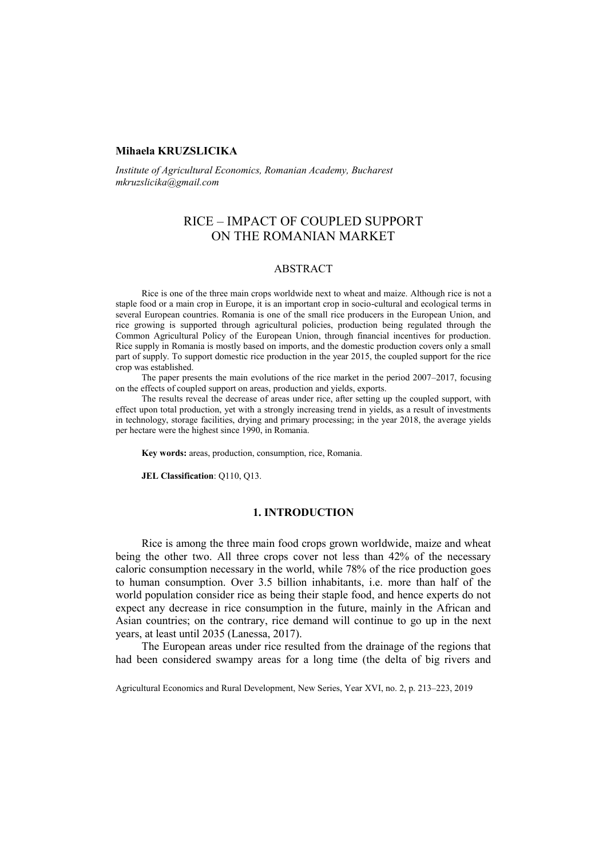# **Mihaela KRUZSLICIKA**

*Institute of Agricultural Economics, Romanian Academy, Bucharest mkruzslicika@gmail.com*

# RICE – IMPACT OF COUPLED SUPPORT ON THE ROMANIAN MARKET

### ABSTRACT

Rice is one of the three main crops worldwide next to wheat and maize. Although rice is not a staple food or a main crop in Europe, it is an important crop in socio-cultural and ecological terms in several European countries. Romania is one of the small rice producers in the European Union, and rice growing is supported through agricultural policies, production being regulated through the Common Agricultural Policy of the European Union, through financial incentives for production. Rice supply in Romania is mostly based on imports, and the domestic production covers only a small part of supply. To support domestic rice production in the year 2015, the coupled support for the rice crop was established.

The paper presents the main evolutions of the rice market in the period 2007–2017, focusing on the effects of coupled support on areas, production and yields, exports.

The results reveal the decrease of areas under rice, after setting up the coupled support, with effect upon total production, yet with a strongly increasing trend in yields, as a result of investments in technology, storage facilities, drying and primary processing; in the year 2018, the average yields per hectare were the highest since 1990, in Romania.

**Key words:** areas, production, consumption, rice, Romania.

**JEL Classification**: Q110, Q13.

### **1. INTRODUCTION**

Rice is among the three main food crops grown worldwide, maize and wheat being the other two. All three crops cover not less than 42% of the necessary caloric consumption necessary in the world, while 78% of the rice production goes to human consumption. Over 3.5 billion inhabitants, i.e. more than half of the world population consider rice as being their staple food, and hence experts do not expect any decrease in rice consumption in the future, mainly in the African and Asian countries; on the contrary, rice demand will continue to go up in the next years, at least until 2035 (Lanessa, 2017).

The European areas under rice resulted from the drainage of the regions that had been considered swampy areas for a long time (the delta of big rivers and

Agricultural Economics and Rural Development, New Series, Year XVI, no. 2, p. 213–223, 2019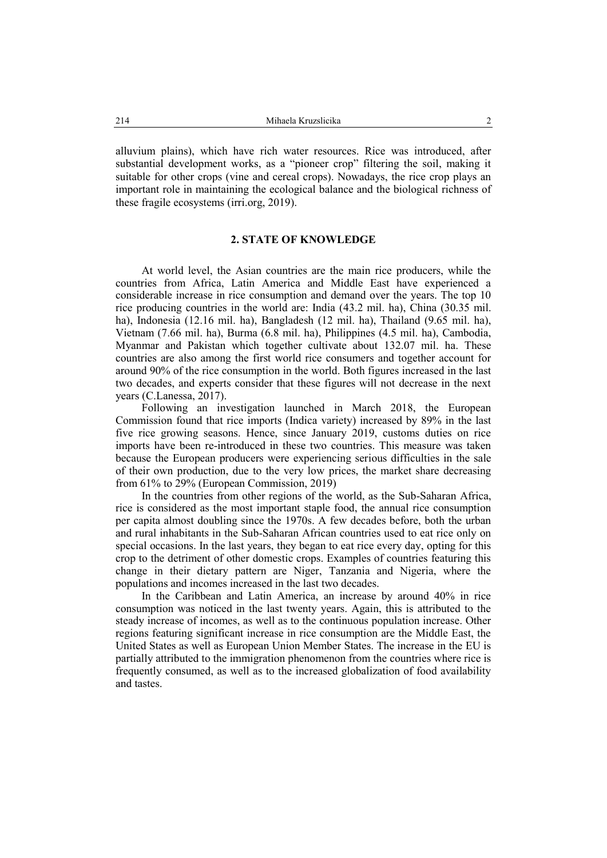alluvium plains), which have rich water resources. Rice was introduced, after substantial development works, as a "pioneer crop" filtering the soil, making it suitable for other crops (vine and cereal crops). Nowadays, the rice crop plays an important role in maintaining the ecological balance and the biological richness of these fragile ecosystems (irri.org, 2019).

### **2. STATE OF KNOWLEDGE**

At world level, the Asian countries are the main rice producers, while the countries from Africa, Latin America and Middle East have experienced a considerable increase in rice consumption and demand over the years. The top 10 rice producing countries in the world are: India (43.2 mil. ha), China (30.35 mil. ha), Indonesia (12.16 mil. ha), Bangladesh (12 mil. ha), Thailand (9.65 mil. ha), Vietnam (7.66 mil. ha), Burma (6.8 mil. ha), Philippines (4.5 mil. ha), Cambodia, Myanmar and Pakistan which together cultivate about 132.07 mil. ha. These countries are also among the first world rice consumers and together account for around 90% of the rice consumption in the world. Both figures increased in the last two decades, and experts consider that these figures will not decrease in the next years (C.Lanessa, 2017).

Following an investigation launched in March 2018, the European Commission found that rice imports (Indica variety) increased by 89% in the last five rice growing seasons. Hence, since January 2019, customs duties on rice imports have been re-introduced in these two countries. This measure was taken because the European producers were experiencing serious difficulties in the sale of their own production, due to the very low prices, the market share decreasing from 61% to 29% (European Commission, 2019)

In the countries from other regions of the world, as the Sub-Saharan Africa, rice is considered as the most important staple food, the annual rice consumption per capita almost doubling since the 1970s. A few decades before, both the urban and rural inhabitants in the Sub-Saharan African countries used to eat rice only on special occasions. In the last years, they began to eat rice every day, opting for this crop to the detriment of other domestic crops. Examples of countries featuring this change in their dietary pattern are Niger, Tanzania and Nigeria, where the populations and incomes increased in the last two decades.

In the Caribbean and Latin America, an increase by around 40% in rice consumption was noticed in the last twenty years. Again, this is attributed to the steady increase of incomes, as well as to the continuous population increase. Other regions featuring significant increase in rice consumption are the Middle East, the United States as well as European Union Member States. The increase in the EU is partially attributed to the immigration phenomenon from the countries where rice is frequently consumed, as well as to the increased globalization of food availability and tastes.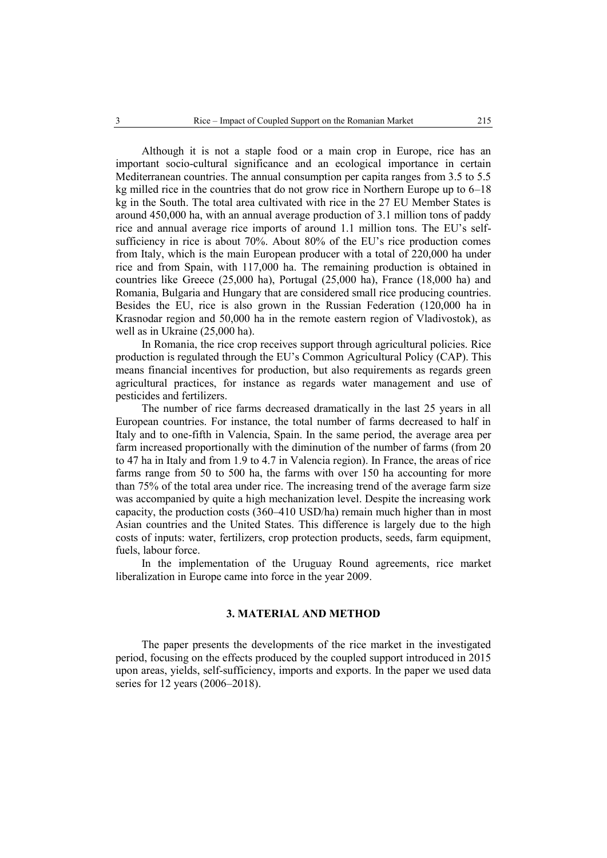Although it is not a staple food or a main crop in Europe, rice has an important socio-cultural significance and an ecological importance in certain Mediterranean countries. The annual consumption per capita ranges from 3.5 to 5.5 kg milled rice in the countries that do not grow rice in Northern Europe up to 6–18 kg in the South. The total area cultivated with rice in the 27 EU Member States is around 450,000 ha, with an annual average production of 3.1 million tons of paddy rice and annual average rice imports of around 1.1 million tons. The EU's selfsufficiency in rice is about 70%. About 80% of the EU's rice production comes from Italy, which is the main European producer with a total of 220,000 ha under rice and from Spain, with 117,000 ha. The remaining production is obtained in countries like Greece (25,000 ha), Portugal (25,000 ha), France (18,000 ha) and Romania, Bulgaria and Hungary that are considered small rice producing countries. Besides the EU, rice is also grown in the Russian Federation (120,000 ha in Krasnodar region and 50,000 ha in the remote eastern region of Vladivostok), as well as in Ukraine (25,000 ha).

In Romania, the rice crop receives support through agricultural policies. Rice production is regulated through the EU's Common Agricultural Policy (CAP). This means financial incentives for production, but also requirements as regards green agricultural practices, for instance as regards water management and use of pesticides and fertilizers.

The number of rice farms decreased dramatically in the last 25 years in all European countries. For instance, the total number of farms decreased to half in Italy and to one-fifth in Valencia, Spain. In the same period, the average area per farm increased proportionally with the diminution of the number of farms (from 20 to 47 ha in Italy and from 1.9 to 4.7 in Valencia region). In France, the areas of rice farms range from 50 to 500 ha, the farms with over 150 ha accounting for more than 75% of the total area under rice. The increasing trend of the average farm size was accompanied by quite a high mechanization level. Despite the increasing work capacity, the production costs  $(360-410 \text{ USD/ha})$  remain much higher than in most Asian countries and the United States. This difference is largely due to the high costs of inputs: water, fertilizers, crop protection products, seeds, farm equipment, fuels, labour force.

In the implementation of the Uruguay Round agreements, rice market liberalization in Europe came into force in the year 2009.

# **3. MATERIAL AND METHOD**

The paper presents the developments of the rice market in the investigated period, focusing on the effects produced by the coupled support introduced in 2015 upon areas, yields, self-sufficiency, imports and exports. In the paper we used data series for 12 years (2006–2018).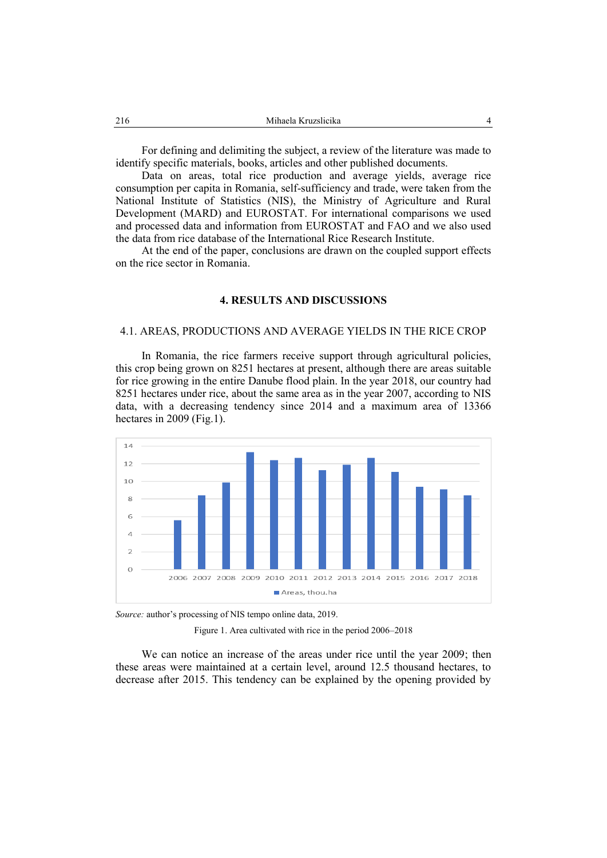For defining and delimiting the subject, a review of the literature was made to identify specific materials, books, articles and other published documents.

Data on areas, total rice production and average yields, average rice consumption per capita in Romania, self-sufficiency and trade, were taken from the National Institute of Statistics (NIS), the Ministry of Agriculture and Rural Development (MARD) and EUROSTAT. For international comparisons we used and processed data and information from EUROSTAT and FAO and we also used the data from rice database of the International Rice Research Institute.

At the end of the paper, conclusions are drawn on the coupled support effects on the rice sector in Romania.

### **4. RESULTS AND DISCUSSIONS**

# 4.1. AREAS, PRODUCTIONS AND AVERAGE YIELDS IN THE RICE CROP

In Romania, the rice farmers receive support through agricultural policies, this crop being grown on 8251 hectares at present, although there are areas suitable for rice growing in the entire Danube flood plain. In the year 2018, our country had 8251 hectares under rice, about the same area as in the year 2007, according to NIS data, with a decreasing tendency since 2014 and a maximum area of 13366 hectares in 2009 (Fig.1).



*Source:* author's processing of NIS tempo online data, 2019.

Figure 1. Area cultivated with rice in the period 2006–2018

We can notice an increase of the areas under rice until the year 2009; then these areas were maintained at a certain level, around 12.5 thousand hectares, to decrease after 2015. This tendency can be explained by the opening provided by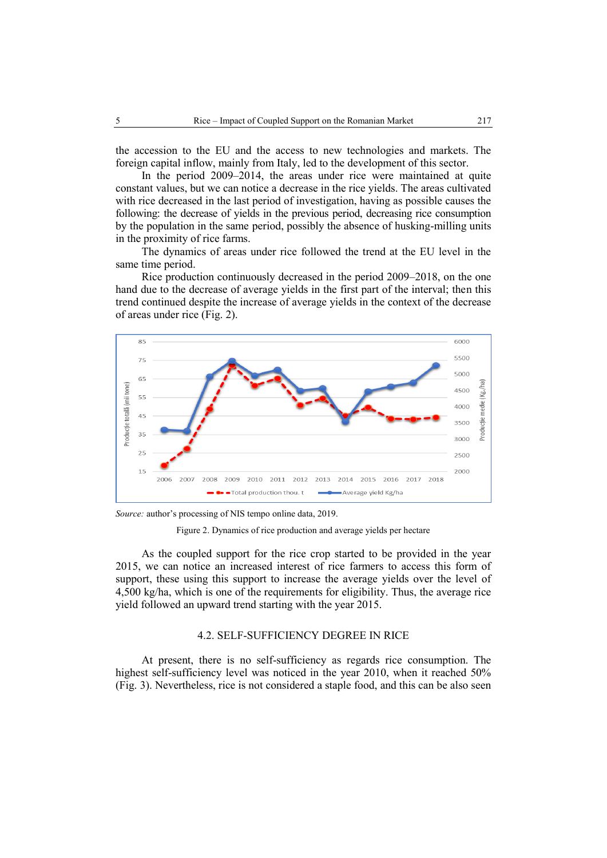the accession to the EU and the access to new technologies and markets. The foreign capital inflow, mainly from Italy, led to the development of this sector.

In the period 2009–2014, the areas under rice were maintained at quite constant values, but we can notice a decrease in the rice yields. The areas cultivated with rice decreased in the last period of investigation, having as possible causes the following: the decrease of yields in the previous period, decreasing rice consumption by the population in the same period, possibly the absence of husking-milling units in the proximity of rice farms.

The dynamics of areas under rice followed the trend at the EU level in the same time period.

Rice production continuously decreased in the period 2009–2018, on the one hand due to the decrease of average yields in the first part of the interval; then this trend continued despite the increase of average yields in the context of the decrease of areas under rice (Fig. 2).



*Source:* author's processing of NIS tempo online data, 2019.

Figure 2. Dynamics of rice production and average yields per hectare

As the coupled support for the rice crop started to be provided in the year 2015, we can notice an increased interest of rice farmers to access this form of support, these using this support to increase the average yields over the level of 4,500 kg/ha, which is one of the requirements for eligibility. Thus, the average rice yield followed an upward trend starting with the year 2015.

# 4.2. SELF-SUFFICIENCY DEGREE IN RICE

At present, there is no self-sufficiency as regards rice consumption. The highest self-sufficiency level was noticed in the year 2010, when it reached 50% (Fig. 3). Nevertheless, rice is not considered a staple food, and this can be also seen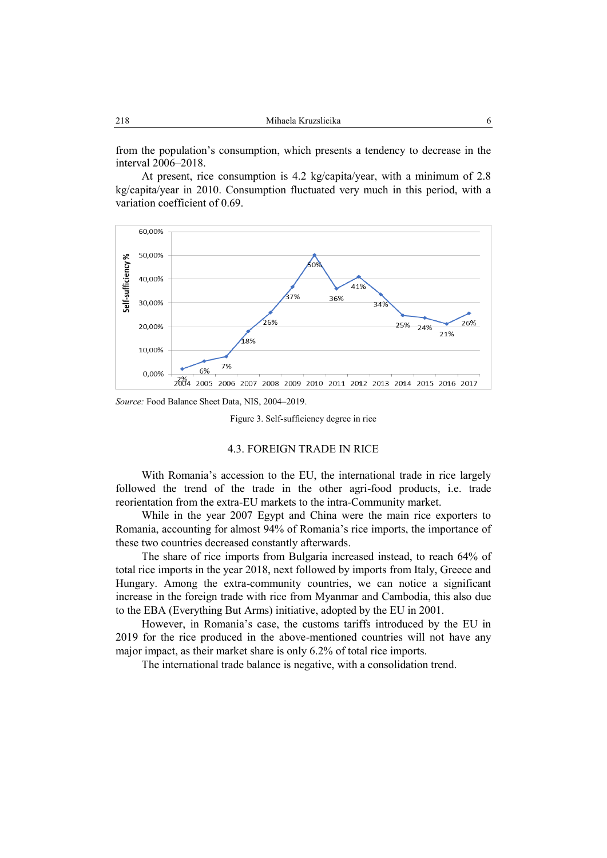from the population's consumption, which presents a tendency to decrease in the interval 2006–2018.

At present, rice consumption is 4.2 kg/capita/year, with a minimum of 2.8 kg/capita/year in 2010. Consumption fluctuated very much in this period, with a variation coefficient of 0.69.



*Source:* Food Balance Sheet Data, NIS, 2004–2019.

Figure 3. Self-sufficiency degree in rice

### 4.3. FOREIGN TRADE IN RICE

With Romania's accession to the EU, the international trade in rice largely followed the trend of the trade in the other agri-food products, i.e. trade reorientation from the extra-EU markets to the intra-Community market.

While in the year 2007 Egypt and China were the main rice exporters to Romania, accounting for almost 94% of Romania's rice imports, the importance of these two countries decreased constantly afterwards.

The share of rice imports from Bulgaria increased instead, to reach 64% of total rice imports in the year 2018, next followed by imports from Italy, Greece and Hungary. Among the extra-community countries, we can notice a significant increase in the foreign trade with rice from Myanmar and Cambodia, this also due to the EBA (Everything But Arms) initiative, adopted by the EU in 2001.

However, in Romania's case, the customs tariffs introduced by the EU in 2019 for the rice produced in the above-mentioned countries will not have any major impact, as their market share is only 6.2% of total rice imports.

The international trade balance is negative, with a consolidation trend.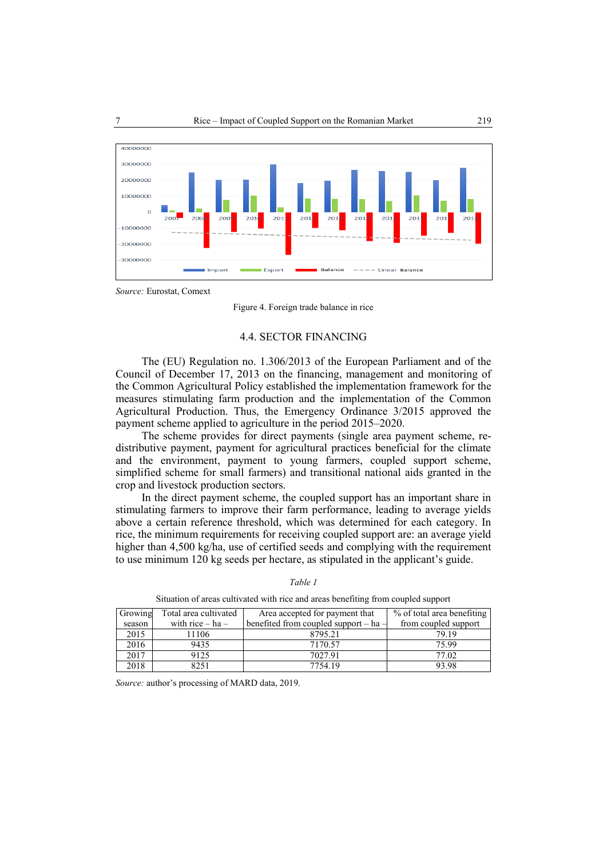

*Source:* Eurostat, Comext

Figure 4. Foreign trade balance in rice

#### 4.4. SECTOR FINANCING

The (EU) [Regulation no. 1.306/2013](http://legislatie.just.ro/Public/DetaliiDocumentAfis/) of the European Parliament and of the Council of December 17, 2013 on the financing, management and monitoring of the Common Agricultural Policy established the implementation framework for the measures stimulating farm production and the implementation of the Common Agricultural Production. Thus, the Emergency Ordinance 3/2015 approved the payment scheme applied to agriculture in the period 2015–2020.

The scheme provides for direct payments (single area payment scheme, redistributive payment, payment for agricultural practices beneficial for the climate and the environment, payment to young farmers, coupled support scheme, simplified scheme for small farmers) and transitional national aids granted in the crop and livestock production sectors.

In the direct payment scheme, the coupled support has an important share in stimulating farmers to improve their farm performance, leading to average yields above a certain reference threshold, which was determined for each category. In rice, the minimum requirements for receiving coupled support are: an average yield higher than 4,500 kg/ha, use of certified seeds and complying with the requirement to use minimum 120 kg seeds per hectare, as stipulated in the applicant's guide.

| Growing | Total area cultivated | Area accepted for payment that            | % of total area benefiting |
|---------|-----------------------|-------------------------------------------|----------------------------|
| season  | with rice $-$ ha $-$  | benefited from coupled support $-$ ha $-$ | from coupled support       |
| 2015    | 1106                  | 8795.21                                   | 79.19                      |
| 2016    | 9435                  | 7170.57                                   | 75.99                      |
| 2017    | 9125                  | 7027.91                                   | 77.02                      |
| 2018    | 8251                  | 7754.19                                   | 93.98                      |

*Table 1*

Situation of areas cultivated with rice and areas benefiting from coupled support

*Source:* author's processing of MARD data, 2019.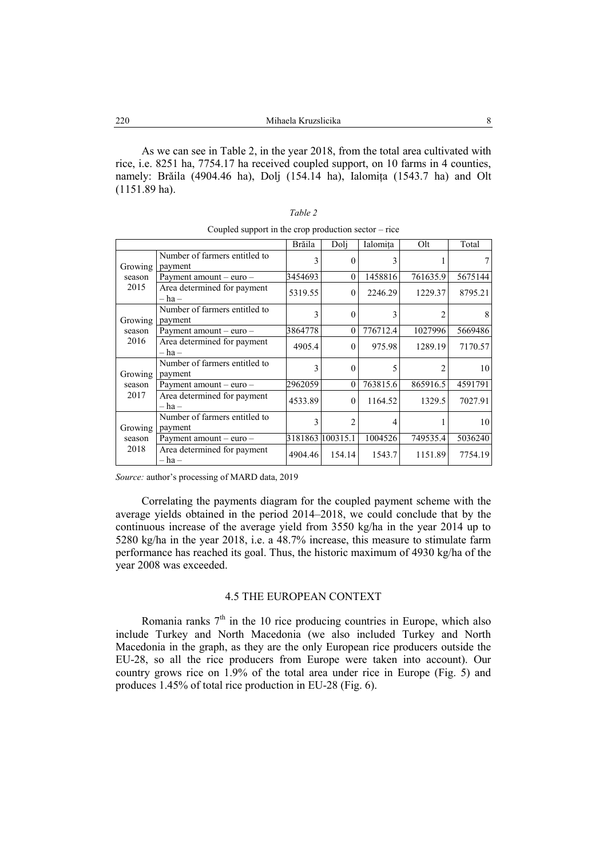As we can see in Table 2, in the year 2018, from the total area cultivated with rice, i.e. 8251 ha, 7754.17 ha received coupled support, on 10 farms in 4 counties, namely: Brăila (4904.46 ha), Dolj (154.14 ha), Ialomița (1543.7 ha) and Olt (1151.89 ha).

|                           |                                           | Brăila  | Doli             | Ialomita | Olt      | Total   |
|---------------------------|-------------------------------------------|---------|------------------|----------|----------|---------|
| Growing<br>season<br>2015 | Number of farmers entitled to<br>payment  | 3       |                  | 3        |          |         |
|                           | Payment amount $-$ euro $-$               | 3454693 | 0                | 1458816  | 761635.9 | 5675144 |
|                           | Area determined for payment<br>– ha –     | 5319.55 | 0                | 2246.29  | 1229.37  | 8795.21 |
| Growing<br>season<br>2016 | Number of farmers entitled to<br>payment  |         |                  |          |          |         |
|                           | Payment amount $-$ euro $-$               | 3864778 | $\Omega$         | 776712.4 | 1027996  | 5669486 |
|                           | Area determined for payment<br>– ha –     | 4905.4  | $\Omega$         | 975.98   | 1289.19  | 7170.57 |
| Growing<br>season<br>2017 | Number of farmers entitled to<br>payment  |         |                  |          |          | 10      |
|                           | Payment amount $-$ euro $-$               | 2962059 | $\Omega$         | 763815.6 | 865916.5 | 4591791 |
|                           | Area determined for payment<br>– ha –     | 4533.89 | $\Omega$         | 1164.52  | 1329.5   | 7027.91 |
| Growing<br>season<br>2018 | Number of farmers entitled to<br>payment  | 3       |                  | 4        |          | 10      |
|                           | Payment amount – euro –                   |         | 3181863 100315.1 | 1004526  | 749535.4 | 5036240 |
|                           | Area determined for payment<br>$-$ ha $-$ | 4904.46 | 154.14           | 1543.7   | 1151.89  | 7754.19 |

*Table 2* Coupled support in the crop production sector – rice

*Source:* author's processing of MARD data, 2019

Correlating the payments diagram for the coupled payment scheme with the average yields obtained in the period 2014–2018, we could conclude that by the continuous increase of the average yield from 3550 kg/ha in the year 2014 up to 5280 kg/ha in the year 2018, i.e. a 48.7% increase, this measure to stimulate farm performance has reached its goal. Thus, the historic maximum of 4930 kg/ha of the year 2008 was exceeded.

# 4.5 THE EUROPEAN CONTEXT

Romania ranks  $7<sup>th</sup>$  in the 10 rice producing countries in Europe, which also include Turkey and North Macedonia (we also included Turkey and North Macedonia in the graph, as they are the only European rice producers outside the EU-28, so all the rice producers from Europe were taken into account). Our country grows rice on 1.9% of the total area under rice in Europe (Fig. 5) and produces 1.45% of total rice production in EU-28 (Fig. 6).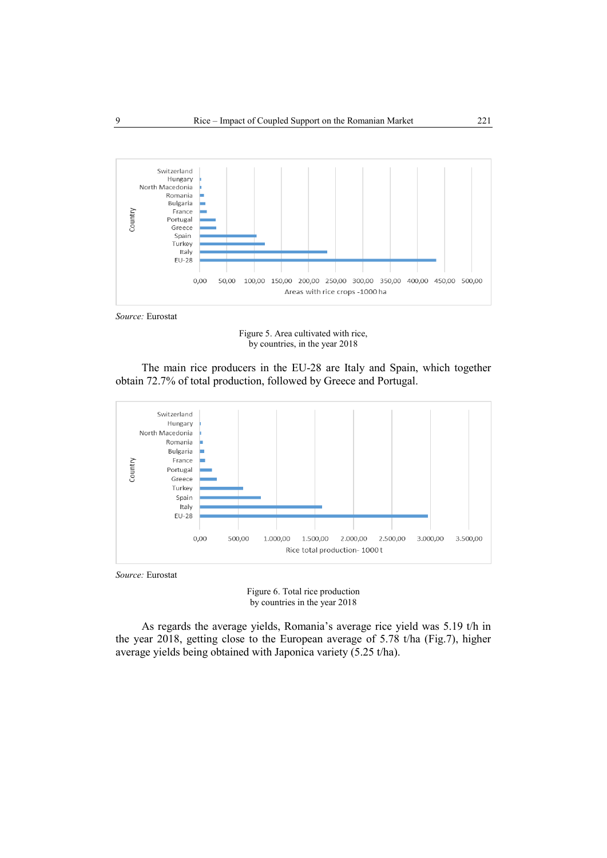



Figure 5. Area cultivated with rice, by countries, in the year 2018

The main rice producers in the EU-28 are Italy and Spain, which together obtain 72.7% of total production, followed by Greece and Portugal.



*Source:* Eurostat

Figure 6. Total rice production by countries in the year 2018

As regards the average yields, Romania's average rice yield was 5.19 t/h in the year 2018, getting close to the European average of 5.78 t/ha (Fig.7), higher average yields being obtained with Japonica variety (5.25 t/ha).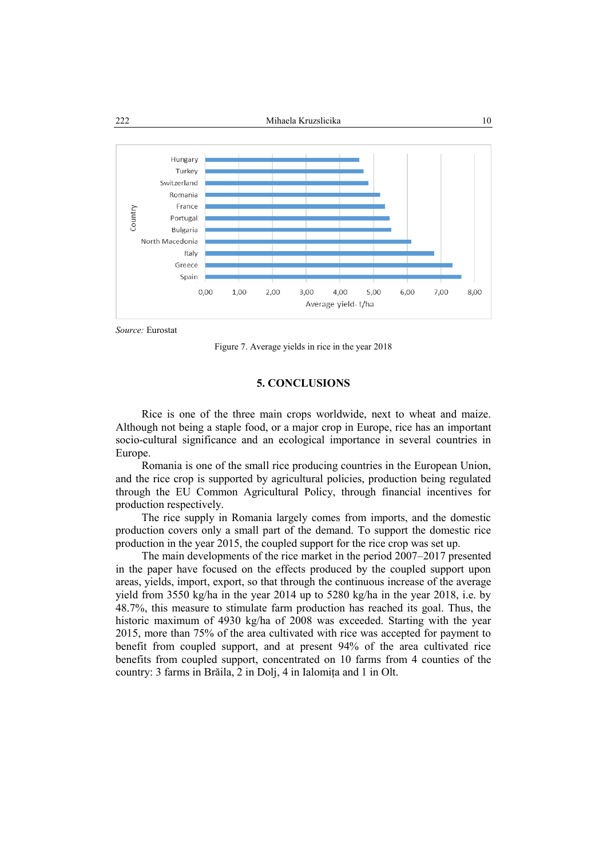

*Source:* Eurostat

Figure 7. Average yields in rice in the year 2018

# **5. CONCLUSIONS**

Rice is one of the three main crops worldwide, next to wheat and maize. Although not being a staple food, or a major crop in Europe, rice has an important socio-cultural significance and an ecological importance in several countries in Europe.

Romania is one of the small rice producing countries in the European Union, and the rice crop is supported by agricultural policies, production being regulated through the EU Common Agricultural Policy, through financial incentives for production respectively.

The rice supply in Romania largely comes from imports, and the domestic production covers only a small part of the demand. To support the domestic rice production in the year 2015, the coupled support for the rice crop was set up.

The main developments of the rice market in the period 2007–2017 presented in the paper have focused on the effects produced by the coupled support upon areas, yields, import, export, so that through the continuous increase of the average yield from 3550 kg/ha in the year 2014 up to 5280 kg/ha in the year 2018, i.e. by 48.7%, this measure to stimulate farm production has reached its goal. Thus, the historic maximum of 4930 kg/ha of 2008 was exceeded. Starting with the year 2015, more than 75% of the area cultivated with rice was accepted for payment to benefit from coupled support, and at present 94% of the area cultivated rice benefits from coupled support, concentrated on 10 farms from 4 counties of the country: 3 farms in Brăila, 2 in Dolj, 4 in Ialomița and 1 in Olt.